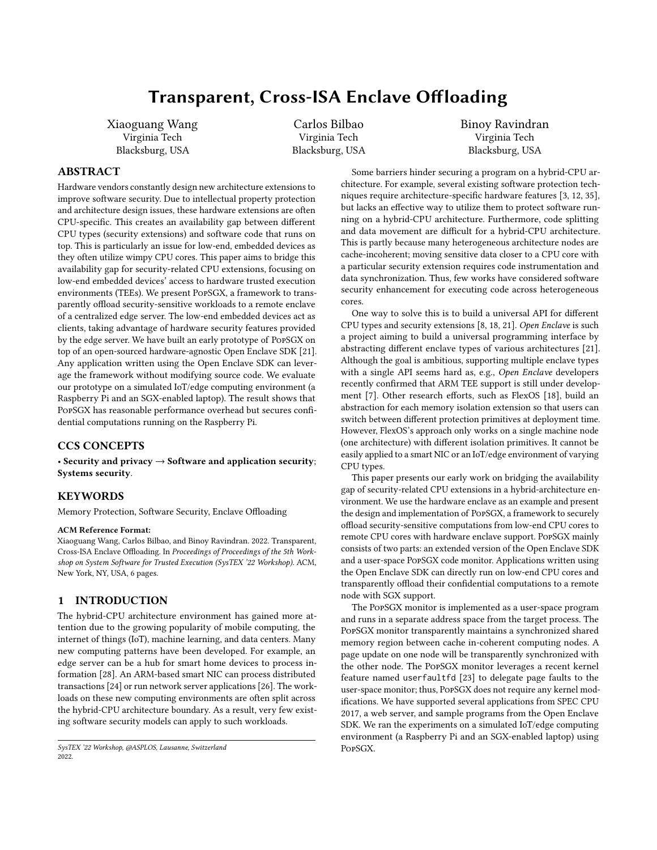# Transparent, Cross-ISA Enclave Offloading

Xiaoguang Wang Virginia Tech Blacksburg, USA

Carlos Bilbao Virginia Tech Blacksburg, USA Binoy Ravindran Virginia Tech Blacksburg, USA

# ABSTRACT

Hardware vendors constantly design new architecture extensions to improve software security. Due to intellectual property protection and architecture design issues, these hardware extensions are often CPU-specific. This creates an availability gap between different CPU types (security extensions) and software code that runs on top. This is particularly an issue for low-end, embedded devices as they often utilize wimpy CPU cores. This paper aims to bridge this availability gap for security-related CPU extensions, focusing on low-end embedded devices' access to hardware trusted execution environments (TEEs). We present PopSGX, a framework to transparently offload security-sensitive workloads to a remote enclave of a centralized edge server. The low-end embedded devices act as clients, taking advantage of hardware security features provided by the edge server. We have built an early prototype of PopSGX on top of an open-sourced hardware-agnostic Open Enclave SDK [21]. Any application written using the Open Enclave SDK can leverage the framework without modifying source code. We evaluate our prototype on a simulated IoT/edge computing environment (a Raspberry Pi and an SGX-enabled laptop). The result shows that PopSGX has reasonable performance overhead but secures confidential computations running on the Raspberry Pi.

# CCS CONCEPTS

• Security and privacy  $\rightarrow$  Software and application security; Systems security.

# KEYWORDS

Memory Protection, Software Security, Enclave Offloading

#### ACM Reference Format:

Xiaoguang Wang, Carlos Bilbao, and Binoy Ravindran. 2022. Transparent, Cross-ISA Enclave Offloading. In Proceedings of Proceedings of the 5th Workshop on System Software for Trusted Execution (SysTEX '22 Workshop). ACM, New York, NY, USA, 6 pages.

# 1 INTRODUCTION

The hybrid-CPU architecture environment has gained more attention due to the growing popularity of mobile computing, the internet of things (IoT), machine learning, and data centers. Many new computing patterns have been developed. For example, an edge server can be a hub for smart home devices to process information [28]. An ARM-based smart NIC can process distributed transactions [24] or run network server applications [26]. The workloads on these new computing environments are often split across the hybrid-CPU architecture boundary. As a result, very few existing software security models can apply to such workloads.

Some barriers hinder securing a program on a hybrid-CPU architecture. For example, several existing software protection techniques require architecture-specific hardware features [3, 12, 35], but lacks an effective way to utilize them to protect software running on a hybrid-CPU architecture. Furthermore, code splitting and data movement are difficult for a hybrid-CPU architecture. This is partly because many heterogeneous architecture nodes are cache-incoherent; moving sensitive data closer to a CPU core with a particular security extension requires code instrumentation and data synchronization. Thus, few works have considered software security enhancement for executing code across heterogeneous cores.

One way to solve this is to build a universal API for different CPU types and security extensions [8, 18, 21]. Open Enclave is such a project aiming to build a universal programming interface by abstracting different enclave types of various architectures [21]. Although the goal is ambitious, supporting multiple enclave types with a single API seems hard as, e.g., Open Enclave developers recently confirmed that ARM TEE support is still under development [7]. Other research efforts, such as FlexOS [18], build an abstraction for each memory isolation extension so that users can switch between different protection primitives at deployment time. However, FlexOS's approach only works on a single machine node (one architecture) with different isolation primitives. It cannot be easily applied to a smart NIC or an IoT/edge environment of varying CPU types.

This paper presents our early work on bridging the availability gap of security-related CPU extensions in a hybrid-architecture environment. We use the hardware enclave as an example and present the design and implementation of PopSGX, a framework to securely offload security-sensitive computations from low-end CPU cores to remote CPU cores with hardware enclave support. PopSGX mainly consists of two parts: an extended version of the Open Enclave SDK and a user-space PopSGX code monitor. Applications written using the Open Enclave SDK can directly run on low-end CPU cores and transparently offload their confidential computations to a remote node with SGX support.

The PopSGX monitor is implemented as a user-space program and runs in a separate address space from the target process. The PopSGX monitor transparently maintains a synchronized shared memory region between cache in-coherent computing nodes. A page update on one node will be transparently synchronized with the other node. The PopSGX monitor leverages a recent kernel feature named userfaultfd [23] to delegate page faults to the user-space monitor; thus, PopSGX does not require any kernel modifications. We have supported several applications from SPEC CPU 2017, a web server, and sample programs from the Open Enclave SDK. We ran the experiments on a simulated IoT/edge computing environment (a Raspberry Pi and an SGX-enabled laptop) using PopSGX.

SysTEX '22 Workshop, @ASPLOS, Lausanne, Switzerland 2022.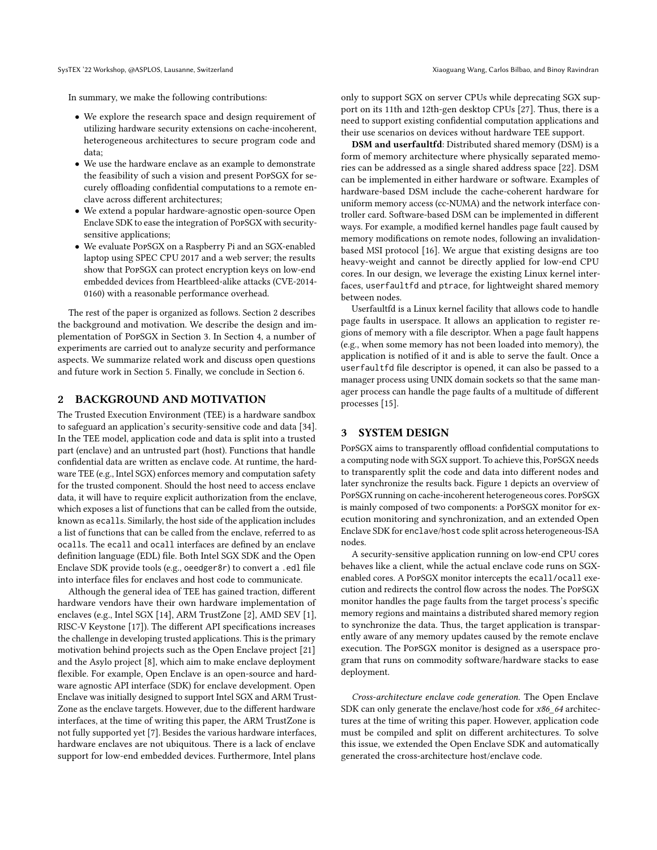In summary, we make the following contributions:

- We explore the research space and design requirement of utilizing hardware security extensions on cache-incoherent, heterogeneous architectures to secure program code and data;
- We use the hardware enclave as an example to demonstrate the feasibility of such a vision and present PopSGX for securely offloading confidential computations to a remote enclave across different architectures;
- We extend a popular hardware-agnostic open-source Open Enclave SDK to ease the integration of PopSGX with securitysensitive applications;
- We evaluate PopSGX on a Raspberry Pi and an SGX-enabled laptop using SPEC CPU 2017 and a web server; the results show that PopSGX can protect encryption keys on low-end embedded devices from Heartbleed-alike attacks (CVE-2014- 0160) with a reasonable performance overhead.

The rest of the paper is organized as follows. Section 2 describes the background and motivation. We describe the design and implementation of PopSGX in Section 3. In Section 4, a number of experiments are carried out to analyze security and performance aspects. We summarize related work and discuss open questions and future work in Section 5. Finally, we conclude in Section 6.

#### 2 BACKGROUND AND MOTIVATION

The Trusted Execution Environment (TEE) is a hardware sandbox to safeguard an application's security-sensitive code and data [34]. In the TEE model, application code and data is split into a trusted part (enclave) and an untrusted part (host). Functions that handle confidential data are written as enclave code. At runtime, the hardware TEE (e.g., Intel SGX) enforces memory and computation safety for the trusted component. Should the host need to access enclave data, it will have to require explicit authorization from the enclave, which exposes a list of functions that can be called from the outside, known as ecalls. Similarly, the host side of the application includes a list of functions that can be called from the enclave, referred to as ocalls. The ecall and ocall interfaces are defined by an enclave definition language (EDL) file. Both Intel SGX SDK and the Open Enclave SDK provide tools (e.g., oeedger8r) to convert a .edl file into interface files for enclaves and host code to communicate.

Although the general idea of TEE has gained traction, different hardware vendors have their own hardware implementation of enclaves (e.g., Intel SGX [14], ARM TrustZone [2], AMD SEV [1], RISC-V Keystone [17]). The different API specifications increases the challenge in developing trusted applications. This is the primary motivation behind projects such as the Open Enclave project [21] and the Asylo project [8], which aim to make enclave deployment flexible. For example, Open Enclave is an open-source and hardware agnostic API interface (SDK) for enclave development. Open Enclave was initially designed to support Intel SGX and ARM Trust-Zone as the enclave targets. However, due to the different hardware interfaces, at the time of writing this paper, the ARM TrustZone is not fully supported yet [7]. Besides the various hardware interfaces, hardware enclaves are not ubiquitous. There is a lack of enclave support for low-end embedded devices. Furthermore, Intel plans

only to support SGX on server CPUs while deprecating SGX support on its 11th and 12th-gen desktop CPUs [27]. Thus, there is a need to support existing confidential computation applications and their use scenarios on devices without hardware TEE support.

DSM and userfaultfd: Distributed shared memory (DSM) is a form of memory architecture where physically separated memories can be addressed as a single shared address space [22]. DSM can be implemented in either hardware or software. Examples of hardware-based DSM include the cache-coherent hardware for uniform memory access (cc-NUMA) and the network interface controller card. Software-based DSM can be implemented in different ways. For example, a modified kernel handles page fault caused by memory modifications on remote nodes, following an invalidationbased MSI protocol [16]. We argue that existing designs are too heavy-weight and cannot be directly applied for low-end CPU cores. In our design, we leverage the existing Linux kernel interfaces, userfaultfd and ptrace, for lightweight shared memory between nodes.

Userfaultfd is a Linux kernel facility that allows code to handle page faults in userspace. It allows an application to register regions of memory with a file descriptor. When a page fault happens (e.g., when some memory has not been loaded into memory), the application is notified of it and is able to serve the fault. Once a userfaultfd file descriptor is opened, it can also be passed to a manager process using UNIX domain sockets so that the same manager process can handle the page faults of a multitude of different processes [15].

### 3 SYSTEM DESIGN

PopSGX aims to transparently offload confidential computations to a computing node with SGX support. To achieve this, PopSGX needs to transparently split the code and data into different nodes and later synchronize the results back. Figure 1 depicts an overview of PopSGX running on cache-incoherent heterogeneous cores. PopSGX is mainly composed of two components: a PopSGX monitor for execution monitoring and synchronization, and an extended Open Enclave SDK for enclave/host code split across heterogeneous-ISA nodes.

A security-sensitive application running on low-end CPU cores behaves like a client, while the actual enclave code runs on SGXenabled cores. A PopSGX monitor intercepts the ecall/ocall execution and redirects the control flow across the nodes. The PopSGX monitor handles the page faults from the target process's specific memory regions and maintains a distributed shared memory region to synchronize the data. Thus, the target application is transparently aware of any memory updates caused by the remote enclave execution. The PopSGX monitor is designed as a userspace program that runs on commodity software/hardware stacks to ease deployment.

Cross-architecture enclave code generation. The Open Enclave SDK can only generate the enclave/host code for x86\_64 architectures at the time of writing this paper. However, application code must be compiled and split on different architectures. To solve this issue, we extended the Open Enclave SDK and automatically generated the cross-architecture host/enclave code.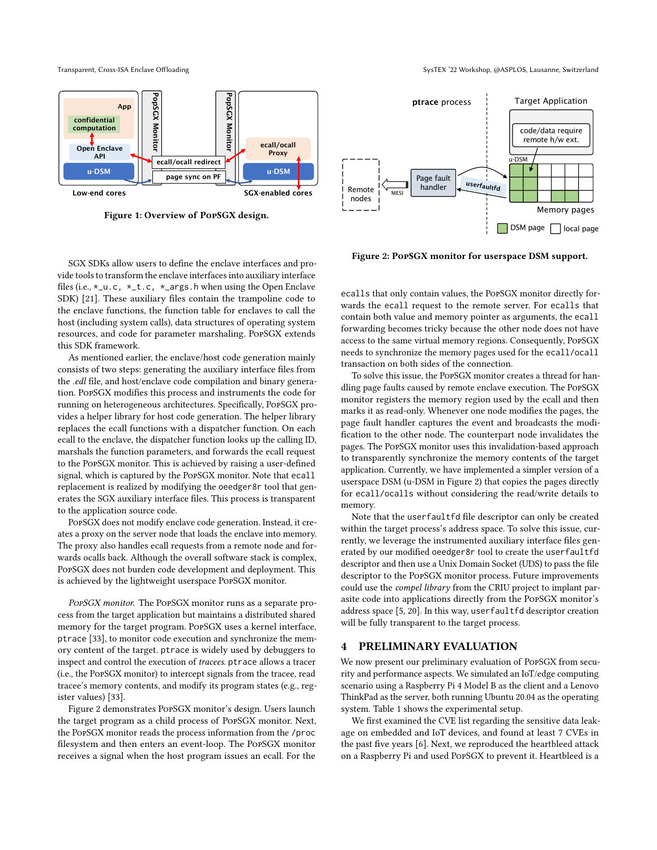

Figure 1: Overview of PopSGX design.

SGX SDKs allow users to define the enclave interfaces and provide tools to transform the enclave interfaces into auxiliary interface files (i.e.,  $*_-u.c$ ,  $*_-t.c$ ,  $*_-args.h$  when using the Open Enclave SDK) [21]. These auxiliary files contain the trampoline code to the enclave functions, the function table for enclaves to call the host (including system calls), data structures of operating system resources, and code for parameter marshaling. PopSGX extends this SDK framework.

As mentioned earlier, the enclave/host code generation mainly consists of two steps: generating the auxiliary interface files from the .edl file, and host/enclave code compilation and binary generation. PopSGX modifies this process and instruments the code for running on heterogeneous architectures. Specifically, PopSGX provides a helper library for host code generation. The helper library replaces the ecall functions with a dispatcher function. On each ecall to the enclave, the dispatcher function looks up the calling ID, marshals the function parameters, and forwards the ecall request to the PopSGX monitor. This is achieved by raising a user-defined signal, which is captured by the PopSGX monitor. Note that ecall replacement is realized by modifying the oeedger8r tool that generates the SGX auxiliary interface files. This process is transparent to the application source code.

PopSGX does not modify enclave code generation. Instead, it creates a proxy on the server node that loads the enclave into memory. The proxy also handles ecall requests from a remote node and forwards ocalls back. Although the overall software stack is complex, PopSGX does not burden code development and deployment. This is achieved by the lightweight userspace PopSGX monitor.

PopSGX monitor. The PopSGX monitor runs as a separate process from the target application but maintains a distributed shared memory for the target program. PopSGX uses a kernel interface, ptrace [33], to monitor code execution and synchronize the memory content of the target. ptrace is widely used by debuggers to inspect and control the execution of tracees. ptrace allows a tracer (i.e., the PopSGX monitor) to intercept signals from the tracee, read tracee's memory contents, and modify its program states (e.g., register values) [33].

Figure 2 demonstrates PopSGX monitor's design. Users launch the target program as a child process of PopSGX monitor. Next, the PopSGX monitor reads the process information from the /proc filesystem and then enters an event-loop. The PopSGX monitor receives a signal when the host program issues an ecall. For the

userfaultfd Target Application DSM page | | local page ptrace process Page fault handler Memory pages code/data require remote h/w ext. u-DSM Remote nodes **MES** 

Figure 2: PopSGX monitor for userspace DSM support.

ecalls that only contain values, the PopSGX monitor directly forwards the ecall request to the remote server. For ecalls that contain both value and memory pointer as arguments, the ecall forwarding becomes tricky because the other node does not have access to the same virtual memory regions. Consequently, PopSGX needs to synchronize the memory pages used for the ecall/ocall transaction on both sides of the connection.

To solve this issue, the PopSGX monitor creates a thread for handling page faults caused by remote enclave execution. The PopSGX monitor registers the memory region used by the ecall and then marks it as read-only. Whenever one node modifies the pages, the page fault handler captures the event and broadcasts the modification to the other node. The counterpart node invalidates the pages. The PopSGX monitor uses this invalidation-based approach to transparently synchronize the memory contents of the target application. Currently, we have implemented a simpler version of a userspace DSM (u-DSM in Figure 2) that copies the pages directly for ecall/ocalls without considering the read/write details to memory.

Note that the userfaultfd file descriptor can only be created within the target process's address space. To solve this issue, currently, we leverage the instrumented auxiliary interface files generated by our modified oeedger8r tool to create the userfaultfd descriptor and then use a Unix Domain Socket (UDS) to pass the file descriptor to the PopSGX monitor process. Future improvements could use the compel library from the CRIU project to implant parasite code into applications directly from the PopSGX monitor's address space [5, 20]. In this way, userfaultfd descriptor creation will be fully transparent to the target process.

### 4 PRELIMINARY EVALUATION

We now present our preliminary evaluation of PopSGX from security and performance aspects. We simulated an IoT/edge computing scenario using a Raspberry Pi 4 Model B as the client and a Lenovo ThinkPad as the server, both running Ubuntu 20.04 as the operating system. Table 1 shows the experimental setup.

We first examined the CVE list regarding the sensitive data leakage on embedded and IoT devices, and found at least 7 CVEs in the past five years [6]. Next, we reproduced the heartbleed attack on a Raspberry Pi and used PopSGX to prevent it. Heartbleed is a

Transparent, Cross-ISA Enclave Offloading SysTEX '22 Workshop, @ASPLOS, Lausanne, Switzerland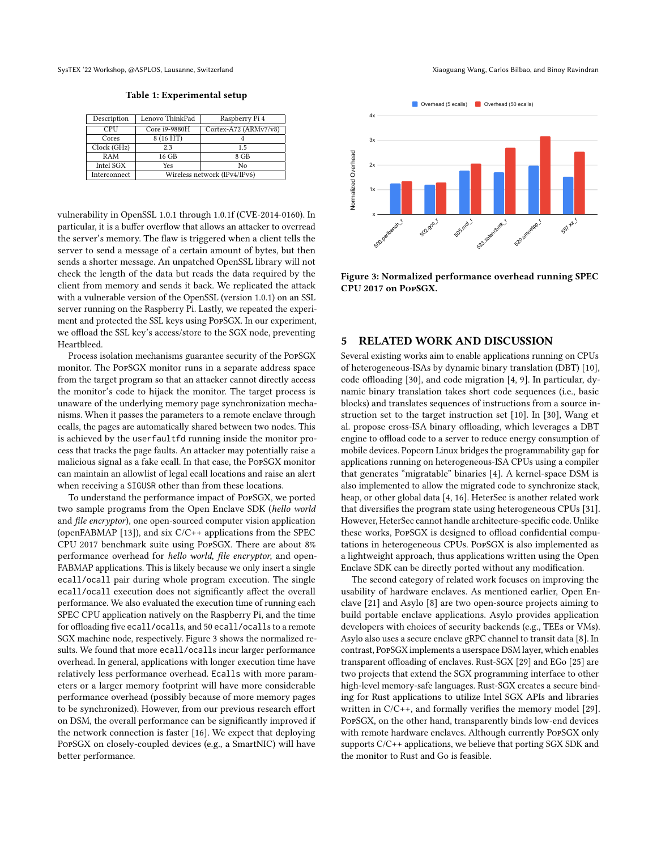SysTEX '22 Workshop, @ASPLOS, Lausanne, Switzerland Xiaoguang Wang, Carlos Bilbao, and Binoy Ravindran

Table 1: Experimental setup

| Description  | Lenovo ThinkPad              | Raspberry Pi 4        |
|--------------|------------------------------|-----------------------|
| CPU          | Core i9-9880H                | Cortex-A72 (ARMv7/v8) |
| Cores        | 8 (16 HT)                    |                       |
| Clock (GHz)  | 2.3                          | 15                    |
| RAM          | 16 GB                        | 8 GB                  |
| Intel SGX    | Yes                          | Nο                    |
| Interconnect | Wireless network (IPv4/IPv6) |                       |

vulnerability in OpenSSL 1.0.1 through 1.0.1f (CVE-2014-0160). In particular, it is a buffer overflow that allows an attacker to overread the server's memory. The flaw is triggered when a client tells the server to send a message of a certain amount of bytes, but then sends a shorter message. An unpatched OpenSSL library will not check the length of the data but reads the data required by the client from memory and sends it back. We replicated the attack with a vulnerable version of the OpenSSL (version 1.0.1) on an SSL server running on the Raspberry Pi. Lastly, we repeated the experiment and protected the SSL keys using PopSGX. In our experiment, we offload the SSL key's access/store to the SGX node, preventing Heartbleed.

Process isolation mechanisms guarantee security of the PopSGX monitor. The PopSGX monitor runs in a separate address space from the target program so that an attacker cannot directly access the monitor's code to hijack the monitor. The target process is unaware of the underlying memory page synchronization mechanisms. When it passes the parameters to a remote enclave through ecalls, the pages are automatically shared between two nodes. This is achieved by the userfaultfd running inside the monitor process that tracks the page faults. An attacker may potentially raise a malicious signal as a fake ecall. In that case, the PopSGX monitor can maintain an allowlist of legal ecall locations and raise an alert when receiving a SIGUSR other than from these locations.

To understand the performance impact of PopSGX, we ported two sample programs from the Open Enclave SDK (hello world and file encryptor), one open-sourced computer vision application (openFABMAP [13]), and six C/C++ applications from the SPEC CPU 2017 benchmark suite using PopSGX. There are about 8% performance overhead for hello world, file encryptor, and open-FABMAP applications. This is likely because we only insert a single ecall/ocall pair during whole program execution. The single ecall/ocall execution does not significantly affect the overall performance. We also evaluated the execution time of running each SPEC CPU application natively on the Raspberry Pi, and the time for offloading five ecall/ocalls, and 50 ecall/ocalls to a remote SGX machine node, respectively. Figure 3 shows the normalized results. We found that more ecall/ocalls incur larger performance overhead. In general, applications with longer execution time have relatively less performance overhead. Ecalls with more parameters or a larger memory footprint will have more considerable performance overhead (possibly because of more memory pages to be synchronized). However, from our previous research effort on DSM, the overall performance can be significantly improved if the network connection is faster [16]. We expect that deploying PopSGX on closely-coupled devices (e.g., a SmartNIC) will have better performance.

Normalized Overhead x  $1x -$ 2x 3x 4x spo.perlbench\_ so2.gcc\_ sos.mck. S23-xalancbmk\_1 520.omnetpp **557.42** Overhead (5 ecalls) **Overhead (50 ecalls)** 

Figure 3: Normalized performance overhead running SPEC CPU 2017 on PopSGX.

#### 5 RELATED WORK AND DISCUSSION

Several existing works aim to enable applications running on CPUs of heterogeneous-ISAs by dynamic binary translation (DBT) [10], code offloading [30], and code migration [4, 9]. In particular, dynamic binary translation takes short code sequences (i.e., basic blocks) and translates sequences of instructions from a source instruction set to the target instruction set [10]. In [30], Wang et al. propose cross-ISA binary offloading, which leverages a DBT engine to offload code to a server to reduce energy consumption of mobile devices. Popcorn Linux bridges the programmability gap for applications running on heterogeneous-ISA CPUs using a compiler that generates "migratable" binaries [4]. A kernel-space DSM is also implemented to allow the migrated code to synchronize stack, heap, or other global data [4, 16]. HeterSec is another related work that diversifies the program state using heterogeneous CPUs [31]. However, HeterSec cannot handle architecture-specific code. Unlike these works, PopSGX is designed to offload confidential computations in heterogeneous CPUs. PopSGX is also implemented as a lightweight approach, thus applications written using the Open Enclave SDK can be directly ported without any modification.

The second category of related work focuses on improving the usability of hardware enclaves. As mentioned earlier, Open Enclave [21] and Asylo [8] are two open-source projects aiming to build portable enclave applications. Asylo provides application developers with choices of security backends (e.g., TEEs or VMs). Asylo also uses a secure enclave gRPC channel to transit data [8]. In contrast, PopSGX implements a userspace DSM layer, which enables transparent offloading of enclaves. Rust-SGX [29] and EGo [25] are two projects that extend the SGX programming interface to other high-level memory-safe languages. Rust-SGX creates a secure binding for Rust applications to utilize Intel SGX APIs and libraries written in C/C++, and formally verifies the memory model [29]. PopSGX, on the other hand, transparently binds low-end devices with remote hardware enclaves. Although currently PopSGX only supports C/C++ applications, we believe that porting SGX SDK and the monitor to Rust and Go is feasible.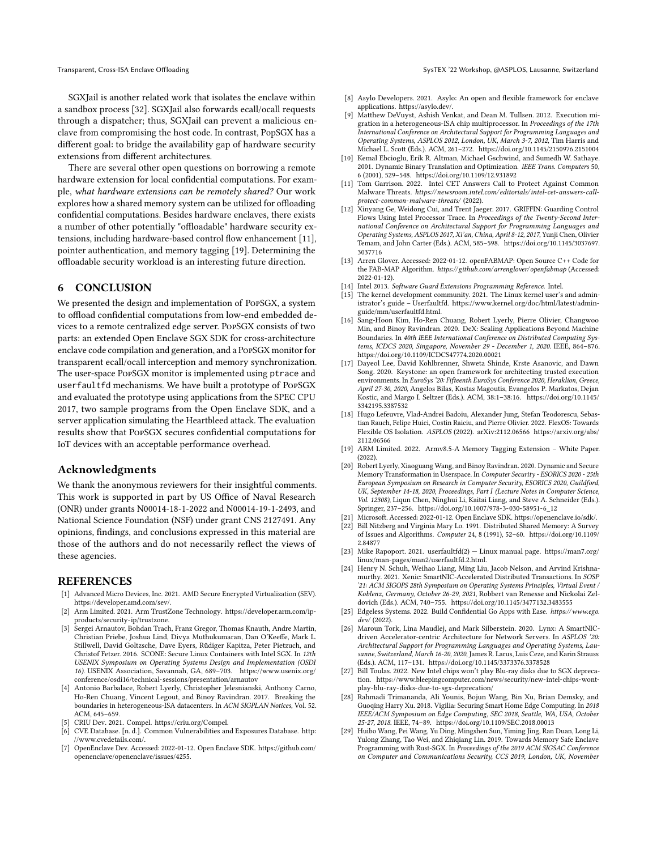SGXJail is another related work that isolates the enclave within a sandbox process [32]. SGXJail also forwards ecall/ocall requests through a dispatcher; thus, SGXJail can prevent a malicious enclave from compromising the host code. In contrast, PopSGX has a different goal: to bridge the availability gap of hardware security extensions from different architectures.

There are several other open questions on borrowing a remote hardware extension for local confidential computations. For example, what hardware extensions can be remotely shared? Our work explores how a shared memory system can be utilized for offloading confidential computations. Besides hardware enclaves, there exists a number of other potentially "offloadable" hardware security extensions, including hardware-based control flow enhancement [11], pointer authentication, and memory tagging [19]. Determining the offloadable security workload is an interesting future direction.

#### 6 CONCLUSION

We presented the design and implementation of PopSGX, a system to offload confidential computations from low-end embedded devices to a remote centralized edge server. PopSGX consists of two parts: an extended Open Enclave SGX SDK for cross-architecture enclave code compilation and generation, and a PopSGX monitor for transparent ecall/ocall interception and memory synchronization. The user-space PopSGX monitor is implemented using ptrace and userfaultfd mechanisms. We have built a prototype of PopSGX and evaluated the prototype using applications from the SPEC CPU 2017, two sample programs from the Open Enclave SDK, and a server application simulating the Heartbleed attack. The evaluation results show that PopSGX secures confidential computations for IoT devices with an acceptable performance overhead.

#### Acknowledgments

We thank the anonymous reviewers for their insightful comments. This work is supported in part by US Office of Naval Research (ONR) under grants N00014-18-1-2022 and N00014-19-1-2493, and National Science Foundation (NSF) under grant CNS 2127491. Any opinions, findings, and conclusions expressed in this material are those of the authors and do not necessarily reflect the views of these agencies.

#### REFERENCES

- [1] Advanced Micro Devices, Inc. 2021. AMD Secure Encrypted Virtualization (SEV). https://developer.amd.com/sev/.
- [2] Arm Limited. 2021. Arm TrustZone Technology. https://developer.arm.com/ipproducts/security-ip/trustzone.
- [3] Sergei Arnautov, Bohdan Trach, Franz Gregor, Thomas Knauth, Andre Martin, Christian Priebe, Joshua Lind, Divya Muthukumaran, Dan O'Keeffe, Mark L. Stillwell, David Goltzsche, Dave Eyers, Rüdiger Kapitza, Peter Pietzuch, and Christof Fetzer. 2016. SCONE: Secure Linux Containers with Intel SGX. In 12th USENIX Symposium on Operating Systems Design and Implementation (OSDI 16). USENIX Association, Savannah, GA, 689–703. https://www.usenix.org/ conference/osdi16/technical-sessions/presentation/arnautov
- [4] Antonio Barbalace, Robert Lyerly, Christopher Jelesnianski, Anthony Carno, Ho-Ren Chuang, Vincent Legout, and Binoy Ravindran. 2017. Breaking the boundaries in heterogeneous-ISA datacenters. In ACM SIGPLAN Notices, Vol. 52. ACM, 645–659.
- [5] CRIU Dev. 2021. Compel. https://criu.org/Compel.
- [6] CVE Database. [n. d.]. Common Vulnerabilities and Exposures Database. http: //www.cvedetails.com/.
- [7] OpenEnclave Dev. Accessed: 2022-01-12. Open Enclave SDK. https://github.com/ openenclave/openenclave/issues/4255.
- [8] Asylo Developers. 2021. Asylo: An open and flexible framework for enclave applications. https://asylo.dev/.
- [9] Matthew DeVuyst, Ashish Venkat, and Dean M. Tullsen. 2012. Execution migration in a heterogeneous-ISA chip multiprocessor. In Proceedings of the 17th International Conference on Architectural Support for Programming Languages and Operating Systems, ASPLOS 2012, London, UK, March 3-7, 2012, Tim Harris and Michael L. Scott (Eds.). ACM, 261–272. https://doi.org/10.1145/2150976.2151004
- [10] Kemal Ebcioglu, Erik R. Altman, Michael Gschwind, and Sumedh W. Sathaye. 2001. Dynamic Binary Translation and Optimization. IEEE Trans. Computers 50, 6 (2001), 529–548. https://doi.org/10.1109/12.931892
- [11] Tom Garrison. 2022. Intel CET Answers Call to Protect Against Common Malware Threats. https:// newsroom.intel.com/ editorials/intel-cet-answers-callprotect-common-malware-threats/ (2022).
- [12] Xinyang Ge, Weidong Cui, and Trent Jaeger. 2017. GRIFFIN: Guarding Control Flows Using Intel Processor Trace. In Proceedings of the Twenty-Second International Conference on Architectural Support for Programming Languages and Operating Systems, ASPLOS 2017, Xi'an, China, April 8-12, 2017, Yunji Chen, Olivier Temam, and John Carter (Eds.). ACM, 585–598. https://doi.org/10.1145/3037697. 3037716
- [13] Arren Glover. Accessed: 2022-01-12. openFABMAP: Open Source C++ Code for the FAB-MAP Algorithm. https://github.com/arrenglover/ openfabmap (Accessed: 2022-01-12).
- [14] Intel 2013. Software Guard Extensions Programming Reference. Intel.<br>[15] The kernel development community. 2021. The Linux kernel user's
- The kernel development community. 2021. The Linux kernel user's and administrator's guide – Userfaultfd. https://www.kernel.org/doc/html/latest/adminguide/mm/userfaultfd.html.
- [16] Sang-Hoon Kim, Ho-Ren Chuang, Robert Lyerly, Pierre Olivier, Changwoo Min, and Binoy Ravindran. 2020. DeX: Scaling Applications Beyond Machine Boundaries. In 40th IEEE International Conference on Distributed Computing Systems, ICDCS 2020, Singapore, November 29 - December 1, 2020. IEEE, 864–876. https://doi.org/10.1109/ICDCS47774.2020.00021
- [17] Dayeol Lee, David Kohlbrenner, Shweta Shinde, Krste Asanovic, and Dawn Song. 2020. Keystone: an open framework for architecting trusted execution environments. In EuroSys '20: Fifteenth EuroSys Conference 2020, Heraklion, Greece, April 27-30, 2020, Angelos Bilas, Kostas Magoutis, Evangelos P. Markatos, Dejan Kostic, and Margo I. Seltzer (Eds.). ACM, 38:1–38:16. https://doi.org/10.1145/ 3342195.3387532
- [18] Hugo Lefeuvre, Vlad-Andrei Badoiu, Alexander Jung, Stefan Teodorescu, Sebastian Rauch, Felipe Huici, Costin Raiciu, and Pierre Olivier. 2022. FlexOS: Towards Flexible OS Isolation. ASPLOS (2022). arXiv:2112.06566 https://arxiv.org/abs/ 2112.06566
- [19] ARM Limited. 2022. Armv8.5-A Memory Tagging Extension White Paper. (2022).
- [20] Robert Lyerly, Xiaoguang Wang, and Binoy Ravindran. 2020. Dynamic and Secure Memory Transformation in Userspace. In Computer Security - ESORICS 2020 - 25th European Symposium on Research in Computer Security, ESORICS 2020, Guildford, UK, September 14-18, 2020, Proceedings, Part I (Lecture Notes in Computer Science, Vol. 12308), Liqun Chen, Ninghui Li, Kaitai Liang, and Steve A. Schneider (Eds.). Springer, 237–256. https://doi.org/10.1007/978-3-030-58951-6\_12
- [21] Microsoft. Accessed: 2022-01-12. Open Enclave SDK. https://openenclave.io/sdk/.
- [22] Bill Nitzberg and Virginia Mary Lo. 1991. Distributed Shared Memory: A Survey of Issues and Algorithms. Computer 24, 8 (1991), 52–60. https://doi.org/10.1109/ 2.84877
- [23] Mike Rapoport. 2021. userfaultfd(2) Linux manual page. https://man7.org/ linux/man-pages/man2/userfaultfd.2.html.
- [24] Henry N. Schuh, Weihao Liang, Ming Liu, Jacob Nelson, and Arvind Krishnamurthy. 2021. Xenic: SmartNIC-Accelerated Distributed Transactions. In SOSP '21: ACM SIGOPS 28th Symposium on Operating Systems Principles, Virtual Event / Koblenz, Germany, October 26-29, 2021, Robbert van Renesse and Nickolai Zeldovich (Eds.). ACM, 740–755. https://doi.org/10.1145/3477132.3483555
- [25] Edgeless Systems. 2022. Build Confidential Go Apps with Ease. https://www.ego. dev/ (2022).
- [26] Maroun Tork, Lina Maudlej, and Mark Silberstein. 2020. Lynx: A SmartNICdriven Accelerator-centric Architecture for Network Servers. In ASPLOS '20: Architectural Support for Programming Languages and Operating Systems, Lausanne, Switzerland, March 16-20, 2020, James R. Larus, Luis Ceze, and Karin Strauss (Eds.). ACM, 117–131. https://doi.org/10.1145/3373376.3378528
- [27] Bill Toulas. 2022. New Intel chips won't play Blu-ray disks due to SGX deprecation. https://www.bleepingcomputer.com/news/security/new-intel-chips-wontplay-blu-ray-disks-due-to-sgx-deprecation/
- [28] Rahmadi Trimananda, Ali Younis, Bojun Wang, Bin Xu, Brian Demsky, and Guoqing Harry Xu. 2018. Vigilia: Securing Smart Home Edge Computing. In 2018 IEEE/ACM Symposium on Edge Computing, SEC 2018, Seattle, WA, USA, October 25-27, 2018. IEEE, 74–89. https://doi.org/10.1109/SEC.2018.00013
- [29] Huibo Wang, Pei Wang, Yu Ding, Mingshen Sun, Yiming Jing, Ran Duan, Long Li, Yulong Zhang, Tao Wei, and Zhiqiang Lin. 2019. Towards Memory Safe Enclave Programming with Rust-SGX. In Proceedings of the 2019 ACM SIGSAC Conference on Computer and Communications Security, CCS 2019, London, UK, November